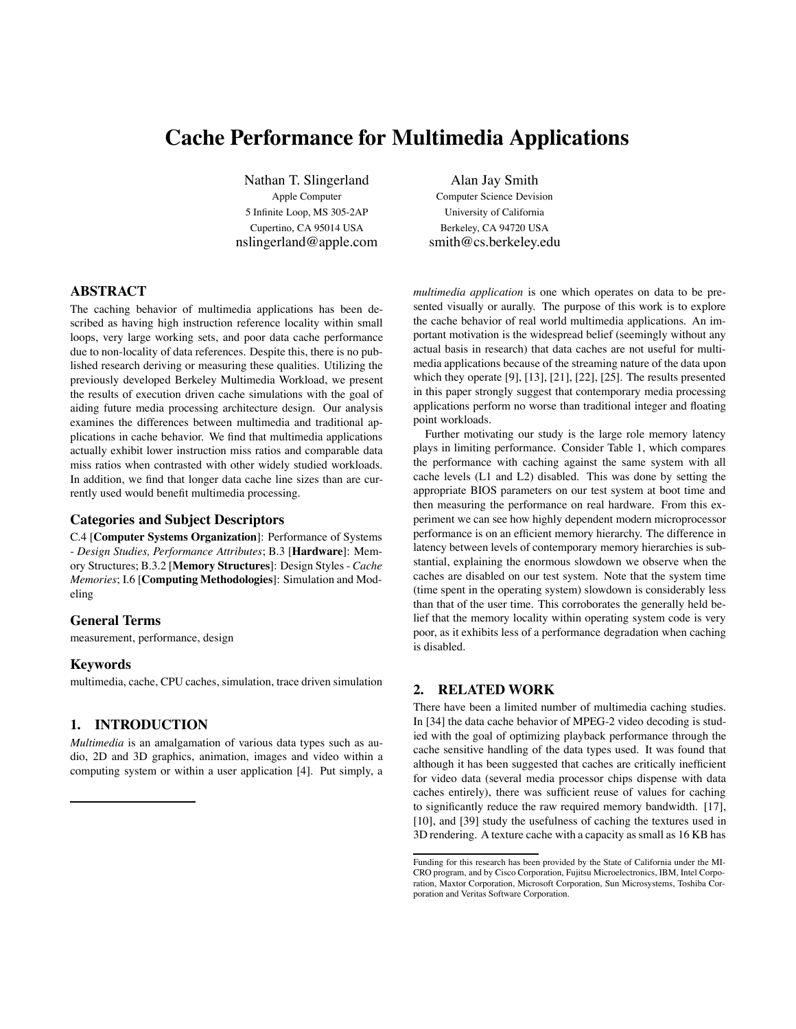# **Cache Performance for Multimedia Applications**

Nathan T. Slingerland Alan Jay Smith 5 Infinite Loop, MS 305-2AP University of California Cupertino, CA 95014 USA Berkeley, CA 94720 USA nslingerland@apple.com smith@cs.berkeley.edu

**ABSTRACT**

The caching behavior of multimedia applications has been described as having high instruction reference locality within small loops, very large working sets, and poor data cache performance due to non-locality of data references. Despite this, there is no published research deriving or measuring these qualities. Utilizing the previously developed Berkeley Multimedia Workload, we present the results of execution driven cache simulations with the goal of aiding future media processing architecture design. Our analysis examines the differences between multimedia and traditional applications in cache behavior. We find that multimedia applications actually exhibit lower instruction miss ratios and comparable data miss ratios when contrasted with other widely studied workloads. In addition, we find that longer data cache line sizes than are currently used would benefit multimedia processing.

## **Categories and Subject Descriptors**

C.4 [**Computer Systems Organization**]: Performance of Systems - *Design Studies, Performance Attributes*; B.3 [**Hardware**]: Memory Structures; B.3.2 [**Memory Structures**]: Design Styles - *Cache Memories*; I.6 [**Computing Methodologies**]: Simulation and Modeling

## **General Terms**

measurement, performance, design

## **Keywords**

multimedia, cache, CPU caches, simulation, trace driven simulation

## **1. INTRODUCTION**

*Multimedia* is an amalgamation of various data types such as audio, 2D and 3D graphics, animation, images and video within a computing system or within a user application [4]. Put simply, a

Apple Computer Computer Science Devision

*multimedia application* is one which operates on data to be presented visually or aurally. The purpose of this work is to explore the cache behavior of real world multimedia applications. An important motivation is the widespread belief (seemingly without any actual basis in research) that data caches are not useful for multimedia applications because of the streaming nature of the data upon which they operate [9], [13], [21], [22], [25]. The results presented in this paper strongly suggest that contemporary media processing applications perform no worse than traditional integer and floating point workloads.

Further motivating our study is the large role memory latency plays in limiting performance. Consider Table 1, which compares the performance with caching against the same system with all cache levels (L1 and L2) disabled. This was done by setting the appropriate BIOS parameters on our test system at boot time and then measuring the performance on real hardware. From this experiment we can see how highly dependent modern microprocessor performance is on an efficient memory hierarchy. The difference in latency between levels of contemporary memory hierarchies is substantial, explaining the enormous slowdown we observe when the caches are disabled on our test system. Note that the system time (time spent in the operating system) slowdown is considerably less than that of the user time. This corroborates the generally held belief that the memory locality within operating system code is very poor, as it exhibits less of a performance degradation when caching is disabled.

## **2. RELATED WORK**

There have been a limited number of multimedia caching studies. In [34] the data cache behavior of MPEG-2 video decoding is studied with the goal of optimizing playback performance through the cache sensitive handling of the data types used. It was found that although it has been suggested that caches are critically inefficient for video data (several media processor chips dispense with data caches entirely), there was sufficient reuse of values for caching to significantly reduce the raw required memory bandwidth. [17], [10], and [39] study the usefulness of caching the textures used in 3D rendering. A texture cache with a capacity as small as 16 KB has

Funding for this research has been provided by the State of California under the MI-CRO program, and by Cisco Corporation, Fujitsu Microelectronics, IBM, Intel Corporation, Maxtor Corporation, Microsoft Corporation, Sun Microsystems, Toshiba Corporation and Veritas Software Corporation.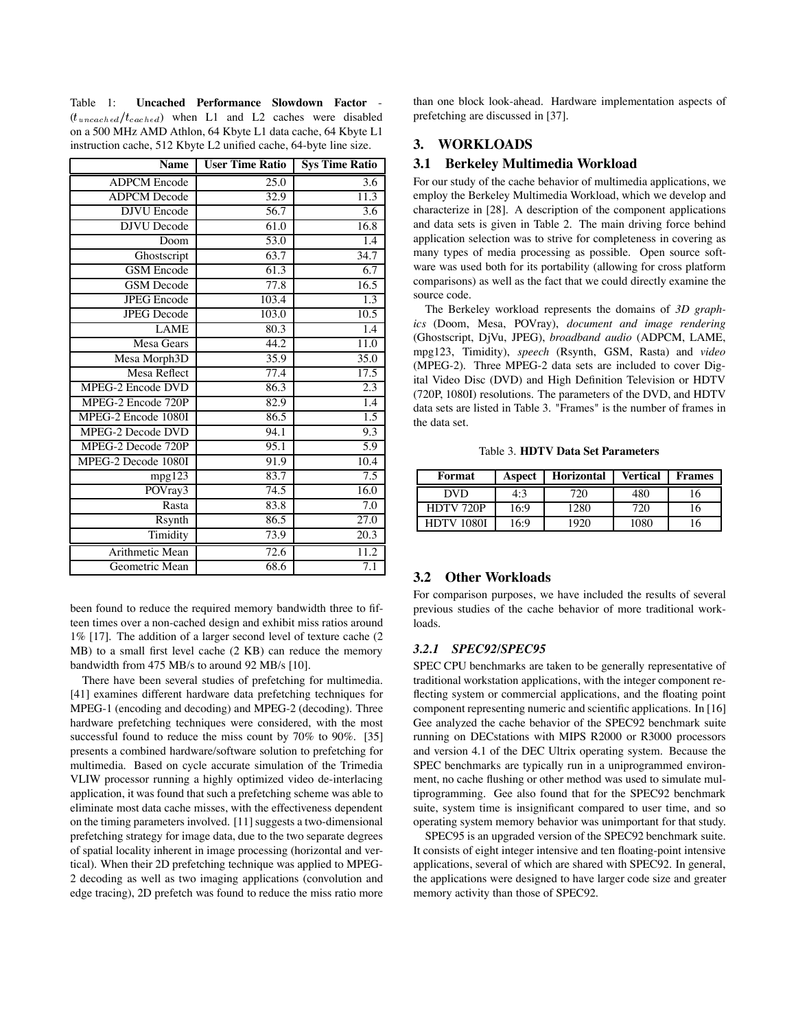Table 1: **Uncached Performance Slowdown Factor** -  $(t_{uncacheed}/t_{cacheed})$  when L1 and L2 caches were disabled on a 500 MHz AMD Athlon, 64 Kbyte L1 data cache, 64 Kbyte L1 instruction cache, 512 Kbyte L2 unified cache, 64-byte line size.

| <b>Name</b>              | <b>User Time Ratio</b> | <b>Sys Time Ratio</b> |
|--------------------------|------------------------|-----------------------|
| <b>ADPCM</b> Encode      | 25.0                   | 3.6                   |
| <b>ADPCM</b> Decode      | 32.9                   | 11.3                  |
| <b>DJVU</b> Encode       | 56.7                   | 3.6                   |
| <b>DJVU</b> Decode       | 61.0                   | 16.8                  |
| Doom                     | 53.0                   | $\overline{1.4}$      |
| Ghostscript              | 63.7                   | 34.7                  |
| <b>GSM</b> Encode        | 61.3                   | 6.7                   |
| <b>GSM</b> Decode        | 77.8                   | 16.5                  |
| <b>JPEG</b> Encode       | 103.4                  | 1.3                   |
| <b>JPEG</b> Decode       | 103.0                  | 10.5                  |
| <b>LAME</b>              | 80.3                   | 1.4                   |
| Mesa Gears               | 44.2                   | 11.0                  |
| Mesa Morph3D             | 35.9                   | 35.0                  |
| Mesa Reflect             | 77.4                   | 17.5                  |
| <b>MPEG-2 Encode DVD</b> | 86.3                   | 2.3                   |
| MPEG-2 Encode 720P       | 82.9                   | 1.4                   |
| MPEG-2 Encode 1080I      | 86.5                   | 1.5                   |
| <b>MPEG-2 Decode DVD</b> | 94.1                   | 9.3                   |
| MPEG-2 Decode 720P       | 95.1                   | 5.9                   |
| MPEG-2 Decode 1080I      | 91.9                   | 10.4                  |
| mpg123                   | 83.7                   | 7.5                   |
| POVray3                  | 74.5                   | 16.0                  |
| Rasta                    | 83.8                   | 7.0                   |
| Rsynth                   | 86.5                   | 27.0                  |
| Timidity                 | 73.9                   | 20.3                  |
| Arithmetic Mean          | 72.6                   | 11.2                  |
| Geometric Mean           | 68.6                   | 7.1                   |

been found to reduce the required memory bandwidth three to fifteen times over a non-cached design and exhibit miss ratios around 1% [17]. The addition of a larger second level of texture cache (2 MB) to a small first level cache (2 KB) can reduce the memory bandwidth from 475 MB/s to around 92 MB/s [10].

There have been several studies of prefetching for multimedia. [41] examines different hardware data prefetching techniques for MPEG-1 (encoding and decoding) and MPEG-2 (decoding). Three hardware prefetching techniques were considered, with the most successful found to reduce the miss count by 70% to 90%. [35] presents a combined hardware/software solution to prefetching for multimedia. Based on cycle accurate simulation of the Trimedia VLIW processor running a highly optimized video de-interlacing application, it was found that such a prefetching scheme was able to eliminate most data cache misses, with the effectiveness dependent on the timing parameters involved. [11] suggests a two-dimensional prefetching strategy for image data, due to the two separate degrees of spatial locality inherent in image processing (horizontal and vertical). When their 2D prefetching technique was applied to MPEG-2 decoding as well as two imaging applications (convolution and edge tracing), 2D prefetch was found to reduce the miss ratio more than one block look-ahead. Hardware implementation aspects of prefetching are discussed in [37].

## **3. WORKLOADS**

## **3.1 Berkeley Multimedia Workload**

For our study of the cache behavior of multimedia applications, we employ the Berkeley Multimedia Workload, which we develop and characterize in [28]. A description of the component applications and data sets is given in Table 2. The main driving force behind application selection was to strive for completeness in covering as many types of media processing as possible. Open source software was used both for its portability (allowing for cross platform comparisons) as well as the fact that we could directly examine the source code.

The Berkeley workload represents the domains of *3D graphics* (Doom, Mesa, POVray), *document and image rendering* (Ghostscript, DjVu, JPEG), *broadband audio* (ADPCM, LAME, mpg123, Timidity), *speech* (Rsynth, GSM, Rasta) and *video* (MPEG-2). Three MPEG-2 data sets are included to cover Digital Video Disc (DVD) and High Definition Television or HDTV (720P, 1080I) resolutions. The parameters of the DVD, and HDTV data sets are listed in Table 3. "Frames" is the number of frames in the data set.

Table 3. **HDTV Data Set Parameters**

| Format            | Aspect | Horizontal | <b>Vertical</b> | <b>Frames</b> |  |  |
|-------------------|--------|------------|-----------------|---------------|--|--|
| <b>DVD</b>        | 4:3    | 720        | 480             | Iб            |  |  |
| HDTV 720P         | 16:9   | 1280       | 720             | Iб            |  |  |
| <b>HDTV 1080I</b> | 16:9   | 1920       | 1080            |               |  |  |

## **3.2 Other Workloads**

For comparison purposes, we have included the results of several previous studies of the cache behavior of more traditional workloads.

#### *3.2.1 SPEC92/SPEC95*

SPEC CPU benchmarks are taken to be generally representative of traditional workstation applications, with the integer component reflecting system or commercial applications, and the floating point component representing numeric and scientific applications. In [16] Gee analyzed the cache behavior of the SPEC92 benchmark suite running on DECstations with MIPS R2000 or R3000 processors and version 4.1 of the DEC Ultrix operating system. Because the SPEC benchmarks are typically run in a uniprogrammed environment, no cache flushing or other method was used to simulate multiprogramming. Gee also found that for the SPEC92 benchmark suite, system time is insignificant compared to user time, and so operating system memory behavior was unimportant for that study.

SPEC95 is an upgraded version of the SPEC92 benchmark suite. It consists of eight integer intensive and ten floating-point intensive applications, several of which are shared with SPEC92. In general, the applications were designed to have larger code size and greater memory activity than those of SPEC92.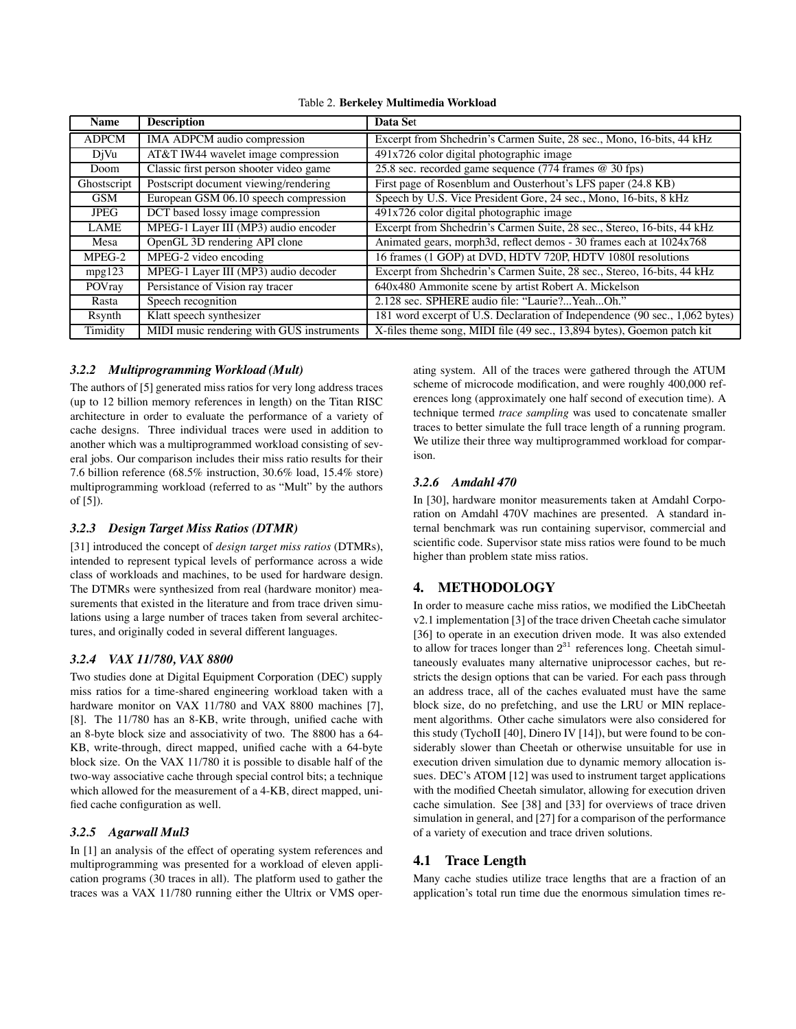| <b>Name</b>  | <b>Description</b>                        | Data Set                                                                    |
|--------------|-------------------------------------------|-----------------------------------------------------------------------------|
| <b>ADPCM</b> | <b>IMA ADPCM</b> audio compression        | Excerpt from Shchedrin's Carmen Suite, 28 sec., Mono, 16-bits, 44 kHz       |
| DjVu         | AT&T IW44 wavelet image compression       | 491x726 color digital photographic image                                    |
| Doom         | Classic first person shooter video game   | 25.8 sec. recorded game sequence (774 frames @ 30 fps)                      |
| Ghostscript  | Postscript document viewing/rendering     | First page of Rosenblum and Ousterhout's LFS paper (24.8 KB)                |
| <b>GSM</b>   | European GSM 06.10 speech compression     | Speech by U.S. Vice President Gore, 24 sec., Mono, 16-bits, 8 kHz           |
| <b>JPEG</b>  | DCT based lossy image compression         | $\sqrt{491x726}$ color digital photographic image                           |
| LAME         | MPEG-1 Layer III (MP3) audio encoder      | Excerpt from Shchedrin's Carmen Suite, 28 sec., Stereo, 16-bits, 44 kHz     |
| Mesa         | OpenGL 3D rendering API clone             | Animated gears, morph3d, reflect demos - 30 frames each at 1024x768         |
| MPEG-2       | MPEG-2 video encoding                     | 16 frames (1 GOP) at DVD, HDTV 720P, HDTV 1080I resolutions                 |
| mpg123       | MPEG-1 Layer III (MP3) audio decoder      | Excerpt from Shchedrin's Carmen Suite, 28 sec., Stereo, 16-bits, 44 kHz     |
| POVray       | Persistance of Vision ray tracer          | 640x480 Ammonite scene by artist Robert A. Mickelson                        |
| Rasta        | Speech recognition                        | 2.128 sec. SPHERE audio file: "Laurie?YeahOh."                              |
| Rsynth       | Klatt speech synthesizer                  | 181 word excerpt of U.S. Declaration of Independence (90 sec., 1,062 bytes) |
| Timidity     | MIDI music rendering with GUS instruments | X-files theme song, MIDI file (49 sec., 13,894 bytes), Goemon patch kit     |

Table 2. **Berkeley Multimedia Workload**

#### *3.2.2 Multiprogramming Workload (Mult)*

The authors of [5] generated miss ratios for very long address traces (up to 12 billion memory references in length) on the Titan RISC architecture in order to evaluate the performance of a variety of cache designs. Three individual traces were used in addition to another which was a multiprogrammed workload consisting of several jobs. Our comparison includes their miss ratio results for their 7.6 billion reference (68.5% instruction, 30.6% load, 15.4% store) multiprogramming workload (referred to as "Mult" by the authors of [5]).

## *3.2.3 Design Target Miss Ratios (DTMR)*

[31] introduced the concept of *design target miss ratios* (DTMRs), intended to represent typical levels of performance across a wide class of workloads and machines, to be used for hardware design. The DTMRs were synthesized from real (hardware monitor) measurements that existed in the literature and from trace driven simulations using a large number of traces taken from several architectures, and originally coded in several different languages.

#### *3.2.4 VAX 11/780, VAX 8800*

Two studies done at Digital Equipment Corporation (DEC) supply miss ratios for a time-shared engineering workload taken with a hardware monitor on VAX 11/780 and VAX 8800 machines [7], [8]. The 11/780 has an 8-KB, write through, unified cache with an 8-byte block size and associativity of two. The 8800 has a 64- KB, write-through, direct mapped, unified cache with a 64-byte block size. On the VAX 11/780 it is possible to disable half of the two-way associative cache through special control bits; a technique which allowed for the measurement of a 4-KB, direct mapped, unified cache configuration as well.

#### *3.2.5 Agarwall Mul3*

In [1] an analysis of the effect of operating system references and multiprogramming was presented for a workload of eleven application programs (30 traces in all). The platform used to gather the traces was a VAX 11/780 running either the Ultrix or VMS operating system. All of the traces were gathered through the ATUM scheme of microcode modification, and were roughly 400,000 references long (approximately one half second of execution time). A technique termed *trace sampling* was used to concatenate smaller traces to better simulate the full trace length of a running program. We utilize their three way multiprogrammed workload for comparison.

#### *3.2.6 Amdahl 470*

In [30], hardware monitor measurements taken at Amdahl Corporation on Amdahl 470V machines are presented. A standard internal benchmark was run containing supervisor, commercial and scientific code. Supervisor state miss ratios were found to be much higher than problem state miss ratios.

## **4. METHODOLOGY**

In order to measure cache miss ratios, we modified the LibCheetah v2.1 implementation [3] of the trace driven Cheetah cache simulator [36] to operate in an execution driven mode. It was also extended to allow for traces longer than  $2^{31}$  references long. Cheetah simultaneously evaluates many alternative uniprocessor caches, but restricts the design options that can be varied. For each pass through an address trace, all of the caches evaluated must have the same block size, do no prefetching, and use the LRU or MIN replacement algorithms. Other cache simulators were also considered for this study (TychoII [40], Dinero IV [14]), but were found to be considerably slower than Cheetah or otherwise unsuitable for use in execution driven simulation due to dynamic memory allocation issues. DEC's ATOM [12] was used to instrument target applications with the modified Cheetah simulator, allowing for execution driven cache simulation. See [38] and [33] for overviews of trace driven simulation in general, and [27] for a comparison of the performance of a variety of execution and trace driven solutions.

#### **4.1 Trace Length**

Many cache studies utilize trace lengths that are a fraction of an application's total run time due the enormous simulation times re-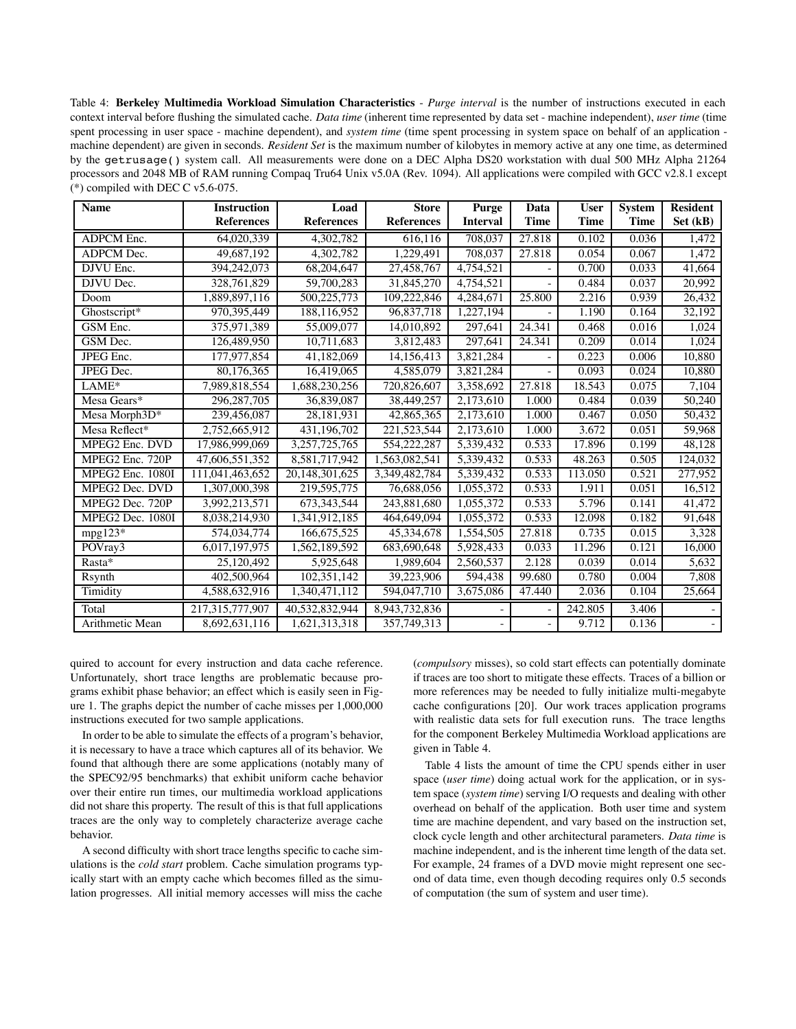Table 4: **Berkeley Multimedia Workload Simulation Characteristics** - *Purge interval* is the number of instructions executed in each context interval before flushing the simulated cache. *Data time* (inherent time represented by data set - machine independent), *user time* (time spent processing in user space - machine dependent), and *system time* (time spent processing in system space on behalf of an application machine dependent) are given in seconds. *Resident Set* is the maximum number of kilobytes in memory active at any one time, as determined by the getrusage() system call. All measurements were done on a DEC Alpha DS20 workstation with dual 500 MHz Alpha 21264 processors and 2048 MB of RAM running Compaq Tru64 Unix v5.0A (Rev. 1094). All applications were compiled with GCC v2.8.1 except (\*) compiled with DEC C v5.6-075.

| <b>Name</b>       | <b>Instruction</b> | Load              | <b>Store</b>      | <b>Purge</b>    | Data        | <b>User</b> | <b>System</b>      | <b>Resident</b>     |
|-------------------|--------------------|-------------------|-------------------|-----------------|-------------|-------------|--------------------|---------------------|
| <b>References</b> |                    | <b>References</b> | <b>References</b> | <b>Interval</b> | <b>Time</b> | <b>Time</b> | <b>Time</b>        | Set (kB)            |
| ADPCM Enc.        | 64,020,339         | 4,302,782         | 616.116           | 708,037         | 27.818      | 0.102       | $\overline{0.0}36$ | 1.472               |
| ADPCM Dec.        | 49,687,192         | 4,302,782         | 1,229,491         | 708,037         | 27.818      | 0.054       | 0.067              | 1,472               |
| DJVU Enc.         | 394,242,073        | 68,204,647        | 27,458,767        | 4,754,521       |             | 0.700       | 0.033              | 41,664              |
| DJVU Dec.         | 328,761,829        | 59,700,283        | 31,845,270        | 4,754,521       |             | 0.484       | 0.037              | 20,992              |
| Doom              | 1,889,897,116      | 500,225,773       | 109,222,846       | 4,284,671       | 25.800      | 2.216       | 0.939              | 26,432              |
| Ghostscript*      | 970,395,449        | 188,116,952       | 96,837,718        | 1,227,194       |             | 1.190       | 0.164              | 32,192              |
| GSM Enc.          | 375,971,389        | 55,009,077        | 14,010,892        | 297,641         | 24.341      | 0.468       | 0.016              | 1,024               |
| GSM Dec.          | 126,489,950        | 10,711,683        | 3,812,483         | 297,641         | 24.341      | 0.209       | 0.014              | 1,024               |
| JPEG Enc.         | 177,977,854        | 41,182,069        | 14,156,413        | 3,821,284       |             | 0.223       | 0.006              | 10,880              |
| JPEG Dec.         | 80,176,365         | 16,419,065        | 4,585,079         | 3,821,284       |             | 0.093       | 0.024              | 10,880              |
| LAME*             | 7,989,818,554      | 1,688,230,256     | 720,826,607       | 3,358,692       | 27.818      | 18.543      | 0.075              | 7,104               |
| Mesa Gears*       | 296, 287, 705      | 36,839,087        | 38,449,257        | 2,173,610       | 1.000       | 0.484       | 0.039              | 50,240              |
| Mesa Morph3D*     | 239,456,087        | 28,181,931        | 42,865,365        | 2,173,610       | 1.000       | 0.467       | 0.050              | 50,432              |
| Mesa Reflect*     | 2,752,665,912      | 431,196,702       | 221,523,544       | 2,173,610       | 1.000       | 3.672       | 0.051              | 59,968              |
| MPEG2 Enc. DVD    | 17,986,999,069     | 3,257,725,765     | 554,222,287       | 5,339,432       | 0.533       | 17.896      | 0.199              | $\overline{48,128}$ |
| MPEG2 Enc. 720P   | 47,606,551,352     | 8,581,717,942     | 1,563,082,541     | 5,339,432       | 0.533       | 48.263      | 0.505              | 124,032             |
| MPEG2 Enc. 1080I  | 111,041,463,652    | 20,148,301,625    | 3,349,482,784     | 5,339,432       | 0.533       | 113.050     | 0.521              | 277,952             |
| MPEG2 Dec. DVD    | 1,307,000,398      | 219,595,775       | 76,688,056        | 1,055,372       | 0.533       | 1.911       | 0.051              | 16,512              |
| MPEG2 Dec. 720P   | 3,992,213,571      | 673, 343, 544     | 243,881,680       | 1,055,372       | 0.533       | 5.796       | 0.141              | 41,472              |
| MPEG2 Dec. 1080I  | 8,038,214,930      | 1,341,912,185     | 464,649,094       | 1,055,372       | 0.533       | 12.098      | 0.182              | 91,648              |
| $mpg123*$         | 574,034,774        | 166,675,525       | 45,334,678        | 1,554,505       | 27.818      | 0.735       | 0.015              | 3,328               |
| POVray3           | 6,017,197,975      | 1,562,189,592     | 683,690,648       | 5,928,433       | 0.033       | 11.296      | 0.121              | 16,000              |
| Rasta*            | 25,120,492         | 5,925,648         | 1,989,604         | 2,560,537       | 2.128       | 0.039       | 0.014              | 5,632               |
| Rsynth            | 402,500,964        | 102,351,142       | 39,223,906        | 594,438         | 99.680      | 0.780       | 0.004              | 7,808               |
| Timidity          | 4,588,632,916      | 1,340,471,112     | 594,047,710       | 3,675,086       | 47.440      | 2.036       | 0.104              | 25,664              |
| Total             | 217,315,777,907    | 40,532,832,944    | 8,943,732,836     |                 |             | 242.805     | 3.406              |                     |
| Arithmetic Mean   | 8,692,631,116      | 1,621,313,318     | 357,749,313       |                 |             | 9.712       | 0.136              |                     |

quired to account for every instruction and data cache reference. Unfortunately, short trace lengths are problematic because programs exhibit phase behavior; an effect which is easily seen in Figure 1. The graphs depict the number of cache misses per 1,000,000 instructions executed for two sample applications.

In order to be able to simulate the effects of a program's behavior, it is necessary to have a trace which captures all of its behavior. We found that although there are some applications (notably many of the SPEC92/95 benchmarks) that exhibit uniform cache behavior over their entire run times, our multimedia workload applications did not share this property. The result of this is that full applications traces are the only way to completely characterize average cache behavior.

A second difficulty with short trace lengths specific to cache simulations is the *cold start* problem. Cache simulation programs typically start with an empty cache which becomes filled as the simulation progresses. All initial memory accesses will miss the cache (*compulsory* misses), so cold start effects can potentially dominate if traces are too short to mitigate these effects. Traces of a billion or more references may be needed to fully initialize multi-megabyte cache configurations [20]. Our work traces application programs with realistic data sets for full execution runs. The trace lengths for the component Berkeley Multimedia Workload applications are given in Table 4.

Table 4 lists the amount of time the CPU spends either in user space (*user time*) doing actual work for the application, or in system space (*system time*) serving I/O requests and dealing with other overhead on behalf of the application. Both user time and system time are machine dependent, and vary based on the instruction set, clock cycle length and other architectural parameters. *Data time* is machine independent, and is the inherent time length of the data set. For example, 24 frames of a DVD movie might represent one second of data time, even though decoding requires only 0.5 seconds of computation (the sum of system and user time).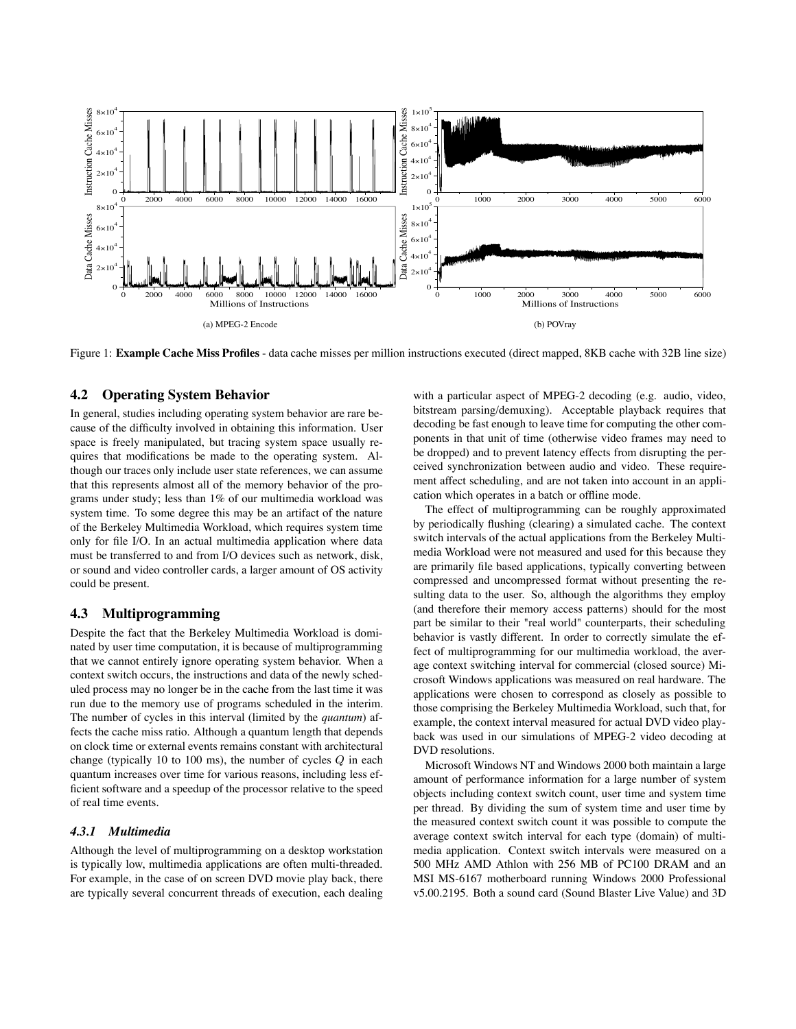

Figure 1: **Example Cache Miss Profiles** - data cache misses per million instructions executed (direct mapped, 8KB cache with 32B line size)

## **4.2 Operating System Behavior**

In general, studies including operating system behavior are rare because of the difficulty involved in obtaining this information. User space is freely manipulated, but tracing system space usually requires that modifications be made to the operating system. Although our traces only include user state references, we can assume that this represents almost all of the memory behavior of the programs under study; less than 1% of our multimedia workload was system time. To some degree this may be an artifact of the nature of the Berkeley Multimedia Workload, which requires system time only for file I/O. In an actual multimedia application where data must be transferred to and from I/O devices such as network, disk, or sound and video controller cards, a larger amount of OS activity could be present.

## **4.3 Multiprogramming**

Despite the fact that the Berkeley Multimedia Workload is dominated by user time computation, it is because of multiprogramming that we cannot entirely ignore operating system behavior. When a context switch occurs, the instructions and data of the newly scheduled process may no longer be in the cache from the last time it was run due to the memory use of programs scheduled in the interim. The number of cycles in this interval (limited by the *quantum*) affects the cache miss ratio. Although a quantum length that depends on clock time or external events remains constant with architectural change (typically 10 to 100 ms), the number of cycles  $Q$  in each quantum increases over time for various reasons, including less efficient software and a speedup of the processor relative to the speed of real time events.

#### *4.3.1 Multimedia*

Although the level of multiprogramming on a desktop workstation is typically low, multimedia applications are often multi-threaded. For example, in the case of on screen DVD movie play back, there are typically several concurrent threads of execution, each dealing

with a particular aspect of MPEG-2 decoding (e.g. audio, video, bitstream parsing/demuxing). Acceptable playback requires that decoding be fast enough to leave time for computing the other components in that unit of time (otherwise video frames may need to be dropped) and to prevent latency effects from disrupting the perceived synchronization between audio and video. These requirement affect scheduling, and are not taken into account in an application which operates in a batch or offline mode.

The effect of multiprogramming can be roughly approximated by periodically flushing (clearing) a simulated cache. The context switch intervals of the actual applications from the Berkeley Multimedia Workload were not measured and used for this because they are primarily file based applications, typically converting between compressed and uncompressed format without presenting the resulting data to the user. So, although the algorithms they employ (and therefore their memory access patterns) should for the most part be similar to their "real world" counterparts, their scheduling behavior is vastly different. In order to correctly simulate the effect of multiprogramming for our multimedia workload, the average context switching interval for commercial (closed source) Microsoft Windows applications was measured on real hardware. The applications were chosen to correspond as closely as possible to those comprising the Berkeley Multimedia Workload, such that, for example, the context interval measured for actual DVD video playback was used in our simulations of MPEG-2 video decoding at DVD resolutions.

Microsoft Windows NT and Windows 2000 both maintain a large amount of performance information for a large number of system objects including context switch count, user time and system time per thread. By dividing the sum of system time and user time by the measured context switch count it was possible to compute the average context switch interval for each type (domain) of multimedia application. Context switch intervals were measured on a 500 MHz AMD Athlon with 256 MB of PC100 DRAM and an MSI MS-6167 motherboard running Windows 2000 Professional v5.00.2195. Both a sound card (Sound Blaster Live Value) and 3D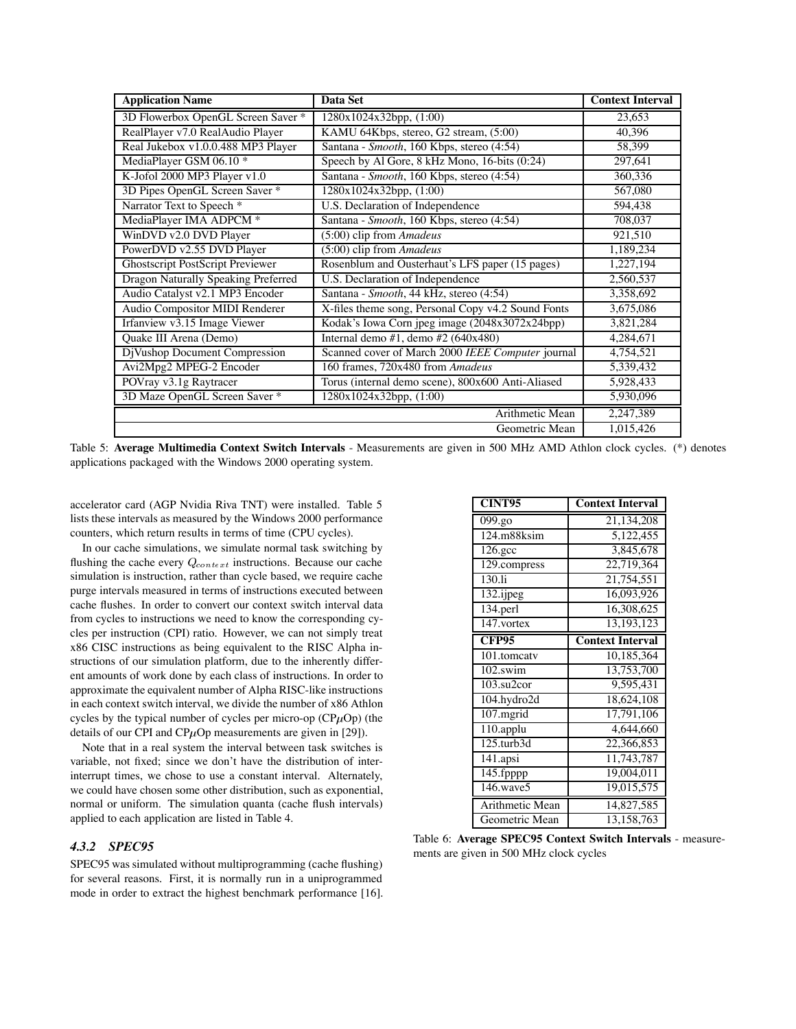| <b>Application Name</b>                 | Data Set                                           | <b>Context Interval</b> |
|-----------------------------------------|----------------------------------------------------|-------------------------|
| 3D Flowerbox OpenGL Screen Saver *      | 1280x1024x32bpp, (1:00)                            | 23,653                  |
| RealPlayer v7.0 RealAudio Player        | KAMU 64Kbps, stereo, G2 stream, (5:00)             | 40,396                  |
| Real Jukebox v1.0.0.488 MP3 Player      | Santana - Smooth, 160 Kbps, stereo (4:54)          | 58,399                  |
| MediaPlayer GSM 06.10 *                 | Speech by Al Gore, 8 kHz Mono, 16-bits (0:24)      | 297,641                 |
| K-Jofol 2000 MP3 Player v1.0            | Santana - Smooth, 160 Kbps, stereo (4:54)          | 360,336                 |
| 3D Pipes OpenGL Screen Saver *          | $1280x1024x32bp$ , $(1:00)$                        | 567,080                 |
| Narrator Text to Speech *               | U.S. Declaration of Independence                   | 594,438                 |
| MediaPlayer IMA ADPCM *                 | Santana - Smooth, 160 Kbps, stereo (4:54)          | 708,037                 |
| WinDVD v2.0 DVD Player                  | (5:00) clip from Amadeus                           | 921,510                 |
| PowerDVD v2.55 DVD Player               | (5:00) clip from Amadeus                           | 1,189,234               |
| <b>Ghostscript PostScript Previewer</b> | Rosenblum and Ousterhaut's LFS paper (15 pages)    | 1,227,194               |
| Dragon Naturally Speaking Preferred     | U.S. Declaration of Independence                   | 2,560,537               |
| Audio Catalyst v2.1 MP3 Encoder         | Santana - Smooth, 44 kHz, stereo (4:54)            | 3,358,692               |
| Audio Compositor MIDI Renderer          | X-files theme song, Personal Copy v4.2 Sound Fonts | 3,675,086               |
| Irfanview v3.15 Image Viewer            | Kodak's Iowa Corn jpeg image (2048x3072x24bpp)     | 3,821,284               |
| Quake III Arena (Demo)                  | Internal demo $#1$ , demo $#2$ (640x480)           | 4,284,671               |
| DjVushop Document Compression           | Scanned cover of March 2000 IEEE Computer journal  | 4,754,521               |
| Avi2Mpg2 MPEG-2 Encoder                 | 160 frames, 720x480 from Amadeus                   | 5,339,432               |
| POVray v3.1g Raytracer                  | Torus (internal demo scene), 800x600 Anti-Aliased  | 5,928,433               |
| 3D Maze OpenGL Screen Saver *           | 1280x1024x32bpp, (1:00)                            | 5,930,096               |
|                                         | Arithmetic Mean                                    | 2,247,389               |
|                                         | Geometric Mean                                     | 1,015,426               |

Table 5: **Average Multimedia Context Switch Intervals** - Measurements are given in 500 MHz AMD Athlon clock cycles. (\*) denotes applications packaged with the Windows 2000 operating system.

accelerator card (AGP Nvidia Riva TNT) were installed. Table 5 lists these intervals as measured by the Windows 2000 performance counters, which return results in terms of time (CPU cycles).

In our cache simulations, we simulate normal task switching by flushing the cache every  $Q_{context}$  instructions. Because our cache simulation is instruction, rather than cycle based, we require cache purge intervals measured in terms of instructions executed between cache flushes. In order to convert our context switch interval data from cycles to instructions we need to know the corresponding cycles per instruction (CPI) ratio. However, we can not simply treat x86 CISC instructions as being equivalent to the RISC Alpha instructions of our simulation platform, due to the inherently different amounts of work done by each class of instructions. In order to approximate the equivalent number of Alpha RISC-like instructions in each context switch interval, we divide the number of x86 Athlon cycles by the typical number of cycles per micro-op  $(CP\mu Qp)$  (the details of our CPI and CP $\mu$ Op measurements are given in [29]).

Note that in a real system the interval between task switches is variable, not fixed; since we don't have the distribution of interinterrupt times, we chose to use a constant interval. Alternately, we could have chosen some other distribution, such as exponential, normal or uniform. The simulation quanta (cache flush intervals) applied to each application are listed in Table 4.

#### *4.3.2 SPEC95*

SPEC95 was simulated without multiprogramming (cache flushing) for several reasons. First, it is normally run in a uniprogrammed mode in order to extract the highest benchmark performance [16].

| <b>CINT95</b>             | <b>Context Interval</b>    |
|---------------------------|----------------------------|
| 099.go                    | 21,134,208                 |
| 124.m88ksim               | 5,122,455                  |
| $126$ .gcc                | 3,845,678                  |
| 129.compress              | 22,719,364                 |
| 130.1i                    | 21,754,551                 |
| $132$ .ijpeg              | 16,093,926                 |
| 134.perl                  | 16,308,625                 |
| 147.vortex                | 13, 193, 123               |
| <b>CFP95</b>              | <b>Context Interval</b>    |
| $\overline{101}$ .tomcatv | $\overline{10}$ , 185, 364 |
| $102$ .swim               | 13,753,700                 |
| $103$ .su $2cor$          | 9,595,431                  |
| 104.hydro2d               | 18,624,108                 |
| 107.mgrid                 | 17,791,106                 |
| 110.applu                 | 4,644,660                  |
| 125.turb3d                | 22,366,853                 |
| 141.apsi                  | 11,743,787                 |
| $145$ .fpppp              | 19,004,011                 |
| $146$ .wave5              | 19,015,575                 |
| Arithmetic Mean           | 14,827,585                 |
| Geometric Mean            | 13,158,763                 |

Table 6: **Average SPEC95 Context Switch Intervals** - measurements are given in 500 MHz clock cycles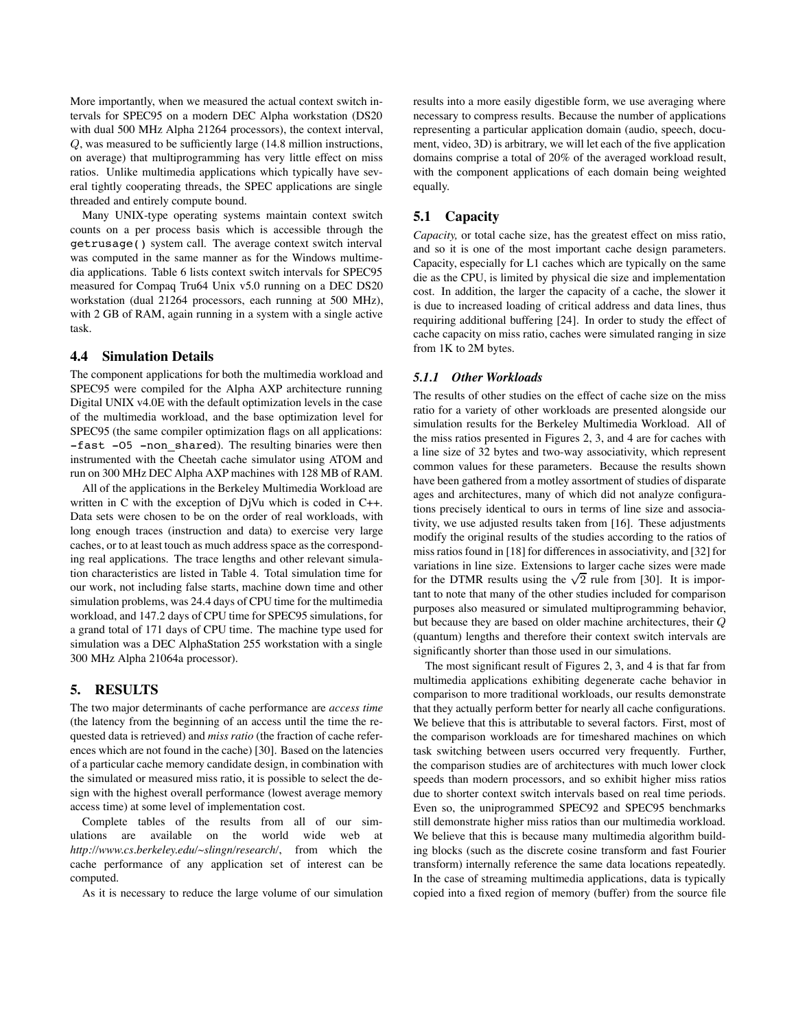More importantly, when we measured the actual context switch intervals for SPEC95 on a modern DEC Alpha workstation (DS20 with dual 500 MHz Alpha 21264 processors), the context interval,  $Q$ , was measured to be sufficiently large (14.8 million instructions, on average) that multiprogramming has very little effect on miss ratios. Unlike multimedia applications which typically have several tightly cooperating threads, the SPEC applications are single threaded and entirely compute bound.

Many UNIX-type operating systems maintain context switch counts on a per process basis which is accessible through the getrusage() system call. The average context switch interval was computed in the same manner as for the Windows multimedia applications. Table 6 lists context switch intervals for SPEC95 measured for Compaq Tru64 Unix v5.0 running on a DEC DS20 workstation (dual 21264 processors, each running at 500 MHz), with 2 GB of RAM, again running in a system with a single active task.

#### **4.4 Simulation Details**

The component applications for both the multimedia workload and SPEC95 were compiled for the Alpha AXP architecture running Digital UNIX v4.0E with the default optimization levels in the case of the multimedia workload, and the base optimization level for SPEC95 (the same compiler optimization flags on all applications: -fast -O5 -non shared). The resulting binaries were then instrumented with the Cheetah cache simulator using ATOM and run on 300 MHz DEC Alpha AXP machines with 128 MB of RAM.

All of the applications in the Berkeley Multimedia Workload are written in C with the exception of DjVu which is coded in C++. Data sets were chosen to be on the order of real workloads, with long enough traces (instruction and data) to exercise very large caches, or to at least touch as much address space as the corresponding real applications. The trace lengths and other relevant simulation characteristics are listed in Table 4. Total simulation time for our work, not including false starts, machine down time and other simulation problems, was 24.4 days of CPU time for the multimedia workload, and 147.2 days of CPU time for SPEC95 simulations, for a grand total of 171 days of CPU time. The machine type used for simulation was a DEC AlphaStation 255 workstation with a single 300 MHz Alpha 21064a processor).

## **5. RESULTS**

The two major determinants of cache performance are *access time* (the latency from the beginning of an access until the time the requested data is retrieved) and *miss ratio* (the fraction of cache references which are not found in the cache) [30]. Based on the latencies of a particular cache memory candidate design, in combination with the simulated or measured miss ratio, it is possible to select the design with the highest overall performance (lowest average memory access time) at some level of implementation cost.

Complete tables of the results from all of our simulations are available on the world wide web at *http://www.cs.berkeley.edu/~slingn/research/*, from which the cache performance of any application set of interest can be computed.

As it is necessary to reduce the large volume of our simulation

results into a more easily digestible form, we use averaging where necessary to compress results. Because the number of applications representing a particular application domain (audio, speech, document, video, 3D) is arbitrary, we will let each of the five application domains comprise a total of 20% of the averaged workload result, with the component applications of each domain being weighted equally.

#### **5.1 Capacity**

*Capacity,* or total cache size, has the greatest effect on miss ratio, and so it is one of the most important cache design parameters. Capacity, especially for L1 caches which are typically on the same die as the CPU, is limited by physical die size and implementation cost. In addition, the larger the capacity of a cache, the slower it is due to increased loading of critical address and data lines, thus requiring additional buffering [24]. In order to study the effect of cache capacity on miss ratio, caches were simulated ranging in size from 1K to 2M bytes.

#### *5.1.1 Other Workloads*

The results of other studies on the effect of cache size on the miss ratio for a variety of other workloads are presented alongside our simulation results for the Berkeley Multimedia Workload. All of the miss ratios presented in Figures 2, 3, and 4 are for caches with a line size of 32 bytes and two-way associativity, which represent common values for these parameters. Because the results shown have been gathered from a motley assortment of studies of disparate ages and architectures, many of which did not analyze configurations precisely identical to ours in terms of line size and associativity, we use adjusted results taken from [16]. These adjustments modify the original results of the studies according to the ratios of miss ratios found in [18] for differences in associativity, and [32] for variations in line size. Extensions to larger cache sizes were made for the DTMR results using the  $\sqrt{2}$  rule from [30]. It is important to note that many of the other studies included for comparison purposes also measured or simulated multiprogramming behavior, but because they are based on older machine architectures, their  $Q$ (quantum) lengths and therefore their context switch intervals are significantly shorter than those used in our simulations.

The most significant result of Figures 2, 3, and 4 is that far from multimedia applications exhibiting degenerate cache behavior in comparison to more traditional workloads, our results demonstrate that they actually perform better for nearly all cache configurations. We believe that this is attributable to several factors. First, most of the comparison workloads are for timeshared machines on which task switching between users occurred very frequently. Further, the comparison studies are of architectures with much lower clock speeds than modern processors, and so exhibit higher miss ratios due to shorter context switch intervals based on real time periods. Even so, the uniprogrammed SPEC92 and SPEC95 benchmarks still demonstrate higher miss ratios than our multimedia workload. We believe that this is because many multimedia algorithm building blocks (such as the discrete cosine transform and fast Fourier transform) internally reference the same data locations repeatedly. In the case of streaming multimedia applications, data is typically copied into a fixed region of memory (buffer) from the source file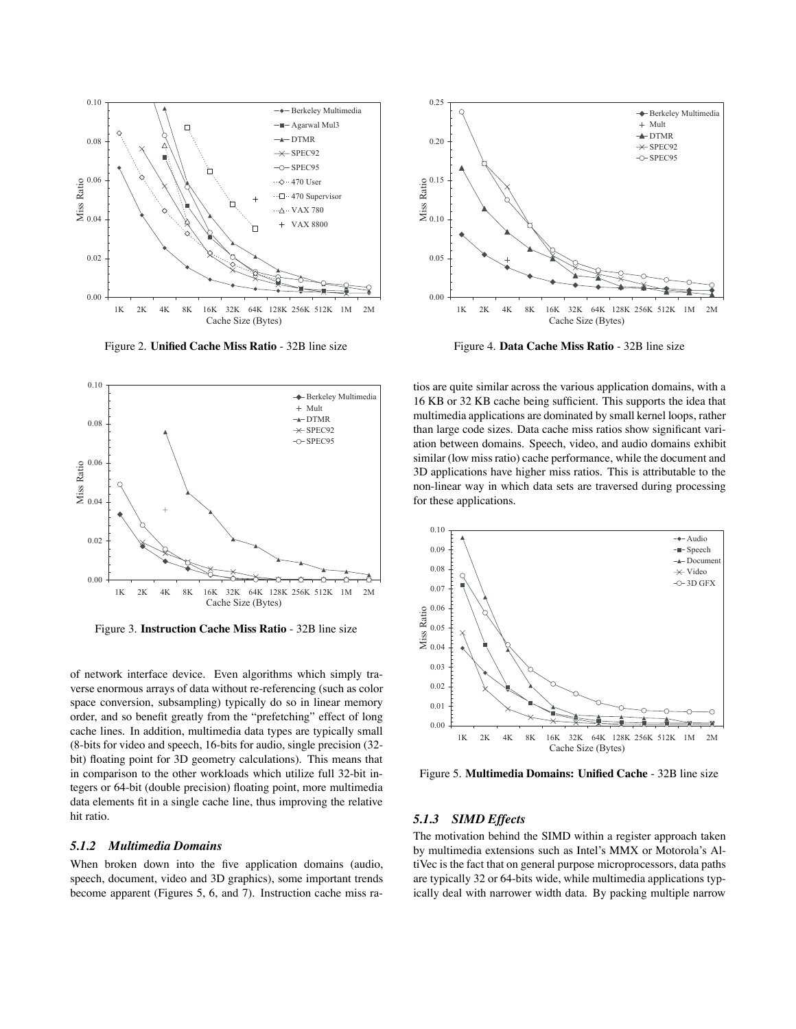

Figure 2. **Unified Cache Miss Ratio** - 32B line size



Figure 3. **Instruction Cache Miss Ratio** - 32B line size

of network interface device. Even algorithms which simply traverse enormous arrays of data without re-referencing (such as color space conversion, subsampling) typically do so in linear memory order, and so benefit greatly from the "prefetching" effect of long cache lines. In addition, multimedia data types are typically small (8-bits for video and speech, 16-bits for audio, single precision (32 bit) floating point for 3D geometry calculations). This means that in comparison to the other workloads which utilize full 32-bit integers or 64-bit (double precision) floating point, more multimedia data elements fit in a single cache line, thus improving the relative hit ratio.

#### *5.1.2 Multimedia Domains*

When broken down into the five application domains (audio, speech, document, video and 3D graphics), some important trends become apparent (Figures 5, 6, and 7). Instruction cache miss ra-



Figure 4. **Data Cache Miss Ratio** - 32B line size

tios are quite similar across the various application domains, with a 16 KB or 32 KB cache being sufficient. This supports the idea that multimedia applications are dominated by small kernel loops, rather than large code sizes. Data cache miss ratios show significant variation between domains. Speech, video, and audio domains exhibit similar (low miss ratio) cache performance, while the document and 3D applications have higher miss ratios. This is attributable to the non-linear way in which data sets are traversed during processing for these applications.



Figure 5. **Multimedia Domains: Unified Cache** - 32B line size

#### *5.1.3 SIMD Effects*

The motivation behind the SIMD within a register approach taken by multimedia extensions such as Intel's MMX or Motorola's AltiVec is the fact that on general purpose microprocessors, data paths are typically 32 or 64-bits wide, while multimedia applications typically deal with narrower width data. By packing multiple narrow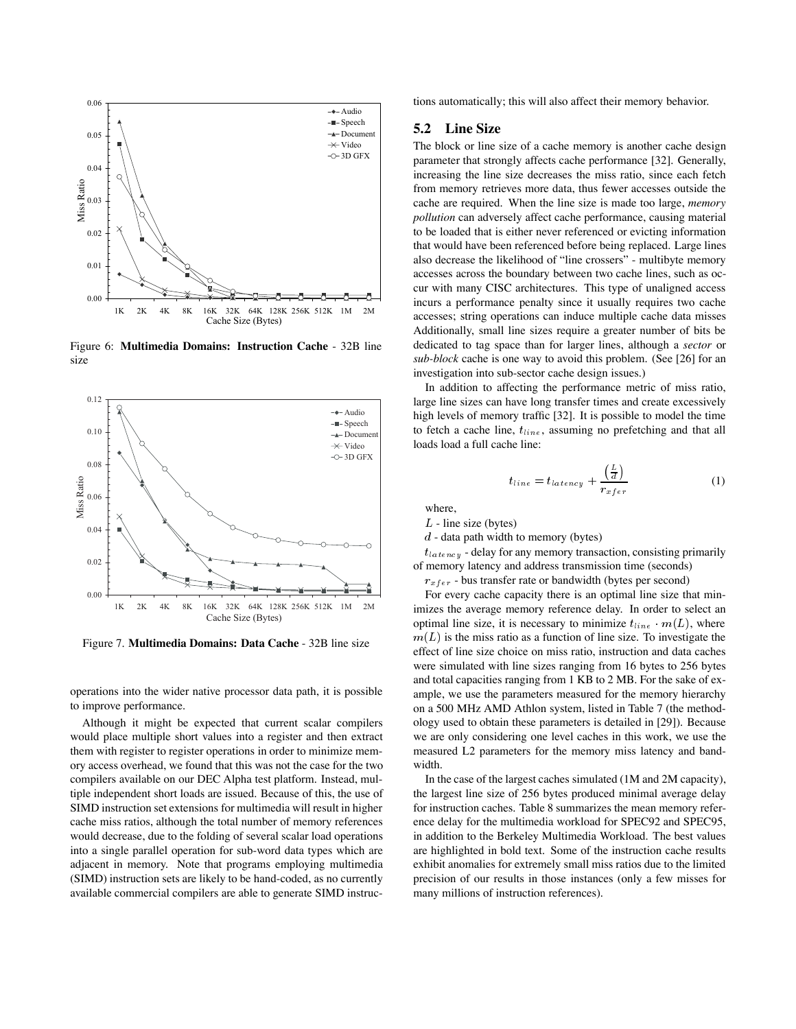

Figure 6: **Multimedia Domains: Instruction Cache** - 32B line size



Figure 7. **Multimedia Domains: Data Cache** - 32B line size

operations into the wider native processor data path, it is possible to improve performance.

Although it might be expected that current scalar compilers would place multiple short values into a register and then extract them with register to register operations in order to minimize memory access overhead, we found that this was not the case for the two compilers available on our DEC Alpha test platform. Instead, multiple independent short loads are issued. Because of this, the use of SIMD instruction set extensions for multimedia will result in higher cache miss ratios, although the total number of memory references would decrease, due to the folding of several scalar load operations into a single parallel operation for sub-word data types which are adjacent in memory. Note that programs employing multimedia (SIMD) instruction sets are likely to be hand-coded, as no currently available commercial compilers are able to generate SIMD instructions automatically; this will also affect their memory behavior.

## **5.2 Line Size**

The block or line size of a cache memory is another cache design parameter that strongly affects cache performance [32]. Generally, increasing the line size decreases the miss ratio, since each fetch from memory retrieves more data, thus fewer accesses outside the cache are required. When the line size is made too large, *memory pollution* can adversely affect cache performance, causing material to be loaded that is either never referenced or evicting information that would have been referenced before being replaced. Large lines also decrease the likelihood of "line crossers" - multibyte memory accesses across the boundary between two cache lines, such as occur with many CISC architectures. This type of unaligned access incurs a performance penalty since it usually requires two cache accesses; string operations can induce multiple cache data misses Additionally, small line sizes require a greater number of bits be dedicated to tag space than for larger lines, although a *sector* or *sub-block* cache is one way to avoid this problem. (See [26] for an investigation into sub-sector cache design issues.)

In addition to affecting the performance metric of miss ratio, large line sizes can have long transfer times and create excessively high levels of memory traffic [32]. It is possible to model the time to fetch a cache line,  $t_{line}$ , assuming no prefetching and that all loads load a full cache line:

$$
t_{line} = t_{latency} + \frac{\left(\frac{L}{d}\right)}{r_{xfer}} \tag{1}
$$

where,

 $L$  - line size (bytes)

 $d$  - data path width to memory (bytes)

 $t_{l \, a \, t \, e \, n \, c \, y}$  - delay for any memory transaction, consisting primarily of memory latency and address transmission time (seconds)

 $r_{xfer}$  - bus transfer rate or bandwidth (bytes per second)

For every cache capacity there is an optimal line size that minimizes the average memory reference delay. In order to select an optimal line size, it is necessary to minimize  $t_{line} \cdot m(L)$ , where  $m(L)$  is the miss ratio as a function of line size. To investigate the effect of line size choice on miss ratio, instruction and data caches were simulated with line sizes ranging from 16 bytes to 256 bytes and total capacities ranging from 1 KB to 2 MB. For the sake of example, we use the parameters measured for the memory hierarchy on a 500 MHz AMD Athlon system, listed in Table 7 (the methodology used to obtain these parameters is detailed in [29]). Because we are only considering one level caches in this work, we use the measured L2 parameters for the memory miss latency and bandwidth.

In the case of the largest caches simulated (1M and 2M capacity), the largest line size of 256 bytes produced minimal average delay for instruction caches. Table 8 summarizes the mean memory reference delay for the multimedia workload for SPEC92 and SPEC95, in addition to the Berkeley Multimedia Workload. The best values are highlighted in bold text. Some of the instruction cache results exhibit anomalies for extremely small miss ratios due to the limited precision of our results in those instances (only a few misses for many millions of instruction references).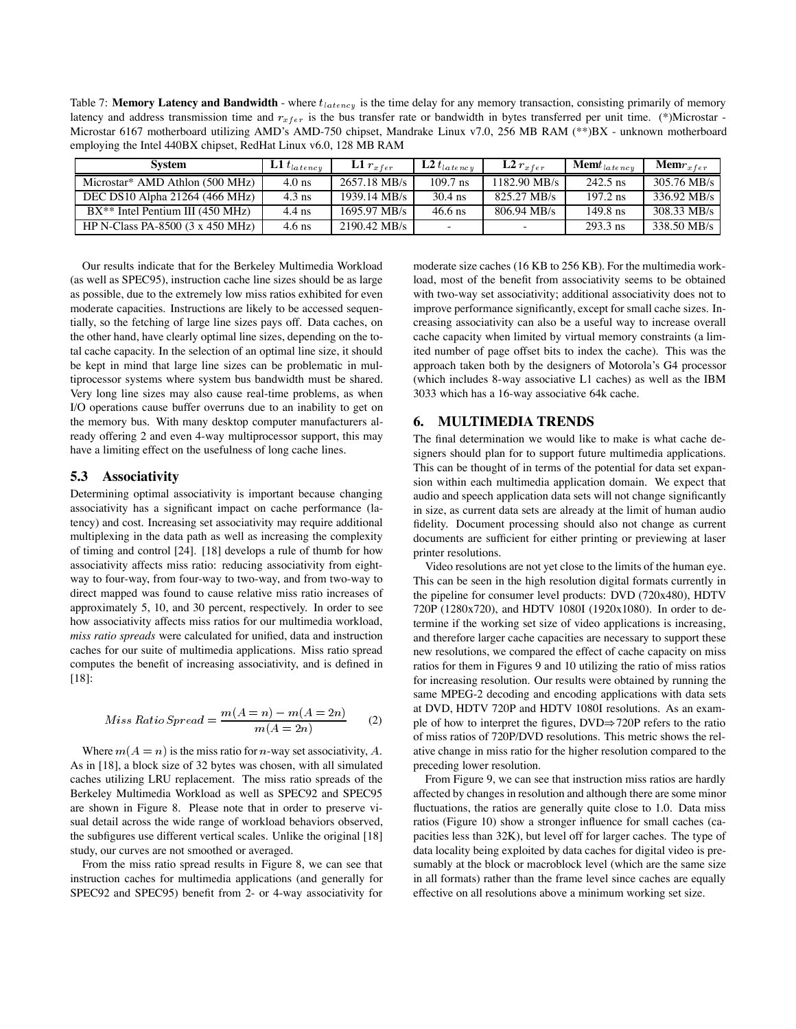Table 7: **Memory Latency and Bandwidth** - where  $t_{latercy}$  is the time delay for any memory transaction, consisting primarily of memory latency and address transmission time and  $r_{xfer}$  is the bus transfer rate or bandwidth in bytes transferred per unit time. (\*)Microstar -Microstar 6167 motherboard utilizing AMD's AMD-750 chipset, Mandrake Linux v7.0, 256 MB RAM (\*\*)BX - unknown motherboard employing the Intel 440BX chipset, RedHat Linux v6.0, 128 MB RAM

| <b>System</b>                                         | $\mathbf{L1}$ t <sub>latency</sub> | $L1 r_{rfer}$          | $L2 t_{latency}$ | $L2 r_{x \text{fer}}$ | $M$ em $t_{later}$ | $Memr_{xfer}$         |
|-------------------------------------------------------|------------------------------------|------------------------|------------------|-----------------------|--------------------|-----------------------|
| Microstar <sup>*</sup> AMD Athlon $(500 \text{ MHz})$ | $4.0$ ns                           | 2657.18 MB/s           | $109.7$ ns       | $1182.90$ MB/s        | $242.5$ ns         | $305.76 \text{ MB/s}$ |
| DEC DS10 Alpha 21264 (466 MHz)                        | $4.3$ ns                           | 1939.14 MB/s           | $30.4$ ns        | 825.27 MB/s           | $197.2$ ns         | $336.92 \text{ MB/s}$ |
| $BX^{**}$ Intel Pentium III (450 MHz)                 | $4.4$ ns                           | $1695.97$ MB/s         | $46.6$ ns        | $806.94 \text{ MB/s}$ | $149.8$ ns         | 308.33 MB/s           |
| HP N-Class PA-8500 $(3 \times 450 \text{ MHz})$       | $4.6$ ns                           | $2190.42 \text{ MB/s}$ | -                |                       | $293.3$ ns         | 338.50 MB/s           |

Our results indicate that for the Berkeley Multimedia Workload (as well as SPEC95), instruction cache line sizes should be as large as possible, due to the extremely low miss ratios exhibited for even moderate capacities. Instructions are likely to be accessed sequentially, so the fetching of large line sizes pays off. Data caches, on the other hand, have clearly optimal line sizes, depending on the total cache capacity. In the selection of an optimal line size, it should be kept in mind that large line sizes can be problematic in multiprocessor systems where system bus bandwidth must be shared. Very long line sizes may also cause real-time problems, as when I/O operations cause buffer overruns due to an inability to get on the memory bus. With many desktop computer manufacturers already offering 2 and even 4-way multiprocessor support, this may have a limiting effect on the usefulness of long cache lines.

#### **5.3 Associativity**

Determining optimal associativity is important because changing associativity has a significant impact on cache performance (latency) and cost. Increasing set associativity may require additional multiplexing in the data path as well as increasing the complexity of timing and control [24]. [18] develops a rule of thumb for how associativity affects miss ratio: reducing associativity from eightway to four-way, from four-way to two-way, and from two-way to direct mapped was found to cause relative miss ratio increases of approximately 5, 10, and 30 percent, respectively. In order to see how associativity affects miss ratios for our multimedia workload, *miss ratio spreads* were calculated for unified, data and instruction caches for our suite of multimedia applications. Miss ratio spread computes the benefit of increasing associativity, and is defined in [18]:

$$
Miss Ratio \, Spread = \frac{m(A=n) - m(A=2n)}{m(A=2n)} \qquad (2)
$$

Where  $m(A = n)$  is the miss ratio for *n*-way set associativity, A. As in [18], a block size of 32 bytes was chosen, with all simulated caches utilizing LRU replacement. The miss ratio spreads of the Berkeley Multimedia Workload as well as SPEC92 and SPEC95 are shown in Figure 8. Please note that in order to preserve visual detail across the wide range of workload behaviors observed, the subfigures use different vertical scales. Unlike the original [18] study, our curves are not smoothed or averaged.

From the miss ratio spread results in Figure 8, we can see that instruction caches for multimedia applications (and generally for SPEC92 and SPEC95) benefit from 2- or 4-way associativity for

moderate size caches (16 KB to 256 KB). For the multimedia workload, most of the benefit from associativity seems to be obtained with two-way set associativity; additional associativity does not to improve performance significantly, except for small cache sizes. Increasing associativity can also be a useful way to increase overall cache capacity when limited by virtual memory constraints (a limited number of page offset bits to index the cache). This was the approach taken both by the designers of Motorola's G4 processor (which includes 8-way associative L1 caches) as well as the IBM 3033 which has a 16-way associative 64k cache.

## **6. MULTIMEDIA TRENDS**

The final determination we would like to make is what cache designers should plan for to support future multimedia applications. This can be thought of in terms of the potential for data set expansion within each multimedia application domain. We expect that audio and speech application data sets will not change significantly in size, as current data sets are already at the limit of human audio fidelity. Document processing should also not change as current documents are sufficient for either printing or previewing at laser printer resolutions.

Video resolutions are not yet close to the limits of the human eye. This can be seen in the high resolution digital formats currently in the pipeline for consumer level products: DVD (720x480), HDTV 720P (1280x720), and HDTV 1080I (1920x1080). In order to determine if the working set size of video applications is increasing, and therefore larger cache capacities are necessary to support these new resolutions, we compared the effect of cache capacity on miss ratios for them in Figures 9 and 10 utilizing the ratio of miss ratios for increasing resolution. Our results were obtained by running the same MPEG-2 decoding and encoding applications with data sets at DVD, HDTV 720P and HDTV 1080I resolutions. As an example of how to interpret the figures,  $DVD \Rightarrow 720P$  refers to the ratio of miss ratios of 720P/DVD resolutions. This metric shows the relative change in miss ratio for the higher resolution compared to the preceding lower resolution.

From Figure 9, we can see that instruction miss ratios are hardly affected by changes in resolution and although there are some minor fluctuations, the ratios are generally quite close to 1.0. Data miss ratios (Figure 10) show a stronger influence for small caches (capacities less than 32K), but level off for larger caches. The type of data locality being exploited by data caches for digital video is presumably at the block or macroblock level (which are the same size in all formats) rather than the frame level since caches are equally effective on all resolutions above a minimum working set size.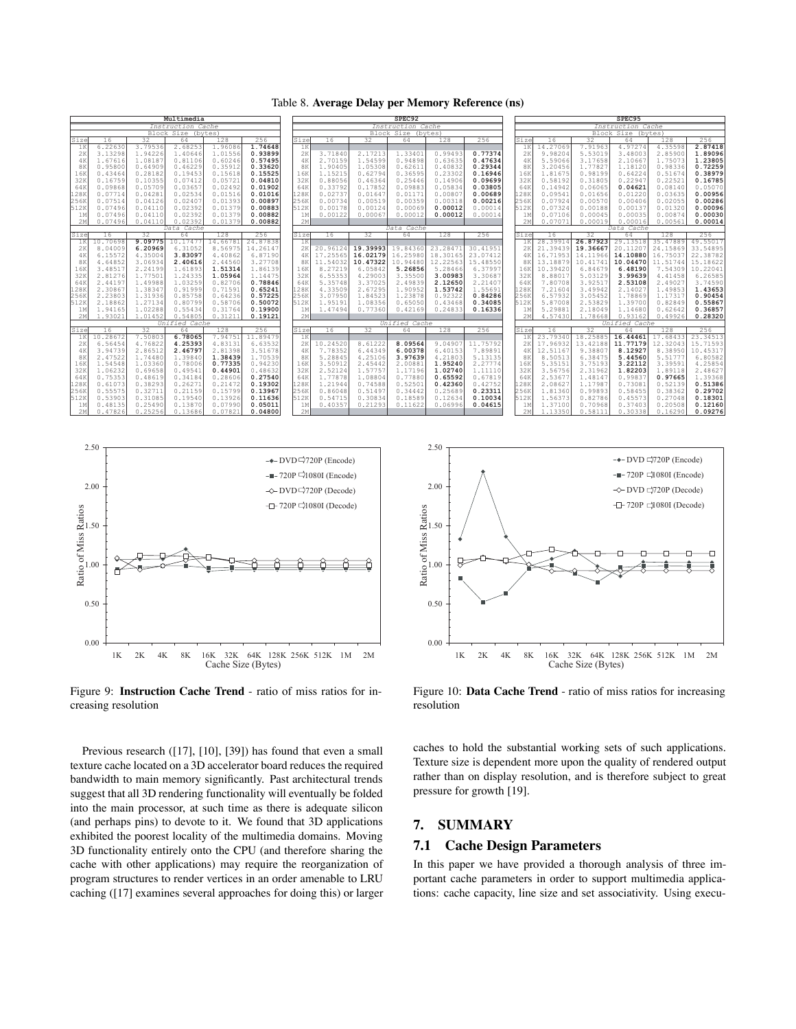#### Table 8. **Average Delay per Memory Reference (ns)**

|                |                    |                    | Multimedia         |                    |                    |           |                       |                      | SPEC92               |                      |                      | SPEC95                |                      |                      |                      |                      |                |
|----------------|--------------------|--------------------|--------------------|--------------------|--------------------|-----------|-----------------------|----------------------|----------------------|----------------------|----------------------|-----------------------|----------------------|----------------------|----------------------|----------------------|----------------|
|                | Instruction Cache  |                    |                    |                    |                    |           |                       |                      | Instruction Cache    |                      |                      | Instruction Cache     |                      |                      |                      |                      |                |
|                |                    |                    | Block Size         | (bytes)            |                    |           | Block Size<br>(bytes) |                      |                      |                      |                      | Block Size<br>(bytes) |                      |                      |                      |                      |                |
| Size           | 16                 | 32                 | 64                 | 128                | 256                | Size      | 16                    | 32                   | 64                   | 128                  | 256                  | Size                  | 16                   | 32                   | 64                   | 128                  | 256            |
| 1K             | 6.22630            | 3.79536            | 2.68253            | 1.96086            | 1.74648            | 1K        |                       |                      |                      |                      |                      | 1K                    | 14,27069             | 7.91963              | 4.97274              | 4.35598              | 2.87           |
| 2K             | 3.13298            | 1.94226            | 1.40646            | 1.01556            | 0.93899            | 2K        | 3.71840               | 2.17213              | 1.33401              | 0.99493              | 0.77374              | 2K                    | 9.98204              | 5.53019              | 3.48003              | 2.85900              | 1.89           |
| 4 <sub>K</sub> | 1.67616            | 1.08187            | 0.81106            | 0.60246            | 0.57495            | 4K        | 2.70159               | 1.54599              | 0.94898              | 0.63635              | 0.47634              | 4K                    | 5.59066              | 3.17658              | 2.10667              | 1,75073              | 1.23           |
| 8K             | 0.95800            | 0.64909            | 0.46229            | 0.35912            | 0.33620            | 8K        | 1,90405               | 1.05308              | 0.62611              | 0.40832              | 0.29344              | 8K                    | 3.20456              | 1,77827              | 1,18120              | 0.98336              | 0.72           |
| 16K            | 0.43464            | 0.28182            | 0.19453            | 0.15618            | 0.15525            | 16K       | 1.15215               | 0.62794              | 0.36595              | 0.23302              | 0.16946              | 16K                   | 1.81675              | 0.98199              | 0.64224              | 0.51674              | 0.38           |
| 32K            | 0.16759            | 0.10355            | 0.07412            | 0.05721            | 0.04810            | 32K       | 0.88056               | 0.46364              | 0.25446              | 0.14906              | 0.09699              | 32K                   | 0.58192              | 0.31805              | 0.22947              | 0.22521              | 0.16           |
| 64K            | 0.09868            | 0.05709            | 0.03657            | 0.02492            | 0.01902            | 64K       | 0.33792               | 0.17852              | 0.09883              | 0.05834              | 0.03805              | 64K                   | 0.14942              | 0.06065              | 0.04621              | 0.08140              | 0.05           |
| 128K           | 0.07714            | 0.04281            | 0.02534            | 0.01516            | 0.01016            | 128K      | 0.02737               | 0.01647              | 0.01171              | 0.00807              | 0.00689              | 128K                  | 0.09541              | 0.01656              | 0.01220              | 0.03635              | 0.00           |
| 256K           | 0.07514            | 0.04126            | 0.02407            | 0.01393            | 0.00897            | 256K      | 0.00734               | 0.00519              | 0.00359              | 0.00318              | 0.00216              | 256K                  | 0.07924              | 0.00570              | 0.00406              | 0.02055              | 0.00           |
| 512K           | 0.07496            | 0.04110            | 0.02392            | 0.01379            | 0.00883            | 512K      | 0.00178               | 0.00124              | 0.00069              | 0.00012              | 0.00014              | 512K                  | 0.07324              | 0.00188              | 0.00137              | 0.01320              | 0.00           |
| 1M             | 0.07496            | 0.04110            | 0.02392            | 0.01379            | 0.00882            | 1M        | 0.00122               | 0.00067              | 0.00012              | 0.00012              | 0.00014              | 1M                    | 0.07106              | 0.00045              | 0.00035              | 0.00874              | 0.00           |
| 2 <sub>N</sub> | 0.07496            | 0.04110            | 0.02392            | 0.01379            | 0.00882            | 2M        |                       |                      |                      |                      |                      | 2M                    | 0.07071              | 0.00019              | 0.00016              | 0.00561              | 0.00           |
|                |                    |                    | Data Cache         |                    |                    |           |                       |                      | Data Cache           |                      |                      |                       |                      |                      | Data Cache           |                      |                |
| Size           | 16                 | 32                 | 64                 | 128                | 256                | Size      | 16                    | 32                   | 64                   | 128                  | 256                  | Size                  | 16                   | 32                   | 64                   | 128                  | 256            |
| 1K             | 10.70698           | 9.09775            | 10.17477           | 14.66781           | 24,87838           | 1K        |                       |                      |                      |                      |                      | 1K                    | 28.39914             | 26.87923             | 29.13518             | 35,47889<br>24.15869 | 49.55          |
| 2K             | 8,04009            | 6.20969            | 6.31052            | 8.56975            | 14.26147           | 2K        | 20.96124              | 19.39993             | 19,84360             | 23,28471             | 30.41951             | 2K                    | 21.39439             | 19.36667             | 20.11207             |                      | 33.54          |
| 4K             | 6.15572<br>4.64852 | 4.35004<br>3.06934 | 3.83097<br>2.40616 | 4.40862<br>2.44560 | 6.87190<br>3,27708 | 4K        | 17.25565<br>11.54032  | 16.02179<br>10.47322 | 16.25980<br>10.94480 | 18.30165<br>12.22563 | 23.07412<br>15.48550 | 4K                    | 16.71953<br>13.18879 | 14,11966<br>10.41741 | 14.10880<br>10.04470 | 16.75037<br>11.51744 | 22.38<br>15.18 |
| 8K<br>16K      | 3.4851             | 2.24199            | 1,61893            | 1.51314            | 1,86139            | 8K<br>16K | 8.27219               | 6.05842              | 5.26856              | 5.28466              | 6.37997              | 8K<br>16K             | 10.39420             | 6.84679              | 6.48190              | 7.54309              | 10.22          |
| 32K            | 2.81276            | 1,77501            | 1.24335            | 1.05964            | 1.14475            | 32K       | 6.55353               | 4.29003              | 3.35500              | 3.00983              | 3,30687              | 32K                   | 8,88017              | 5.03129              | 3.99639              | 4.41458              | 6.26           |
| 64K            | 2.44197            | 1,49988            | 1,03259            | 0.82706            | 0.78846            | 64K       | 5.35748               | 3.37025              | 2.49839              | 2.12650              | 2.21407              | 64K                   | 7.80708              | 3.92517              | 2.53108              | 2.49027              | 3.74           |
| 128K           | 2.30867            | 1.38347            | 0.91999            | 0.71591            | 0.65241            | 128K      | 4.33509               | 2.67295              | 1.90952              | 1.53742              | 1.55691              | 128K                  | 7.21604              | 3.49942              | 2.14027              | 1.49853              | 1.43           |
| 256K           | 2.23803            | 1.31936            | 0.85758            | 0.64236            | 0.57225            | 256K      | 3,07950               | 1.84523              | 1.23878              | 0.92322              | 0.84286              | 256K                  | 6.57932              | 3.05452              | 1.78869              | 1,17317              | 0.90           |
| 512K           | 2.18862            | 1.27134            | 0.80799            | 0.58706            | 0.50072            | 512K      | 1.95191               | 1.08356              | 0.65050              | 0.43468              | 0.34085              | 512K                  | 5.87008              | 2.53829              | 1,39700              | 0.82849              | 0.55           |
| 1M             | 1.94165            | 1,02288            | 0.55434            | 0.31764            | 0.19900            | 1M        | 1.47494               | 0.77360              | 0.42169              | 0.24833              | 0.16336              | 1M                    | 5.29881              | 2.18049              | 1,14680              | 0.62642              | 0.36           |
| 2 <sub>l</sub> | 1,93021            | 1.01452            | 0.54805            | 0.31211            | 0.19121            | 2M        |                       |                      |                      |                      |                      | 2 <sub>N</sub>        | 4.57430              | 1.78668              | 0.93162              | 0.49926              | 0.28           |
|                |                    |                    | Unified Cache      |                    |                    |           |                       |                      | Unified Cache        |                      |                      |                       |                      |                      | Unified Cache        |                      |                |
| Size           | 16                 | 32                 | 64                 | 128                | 256                | Size      | 16                    | 32                   | 64                   | 128                  | 256                  | Size                  | 16                   | 32                   | 64                   | 128                  | 256            |
| 1K             | 10.28672           | 7.50803            | 6.78065            | 7.94751            | 11,89479           | 1K        |                       |                      |                      |                      |                      | 1K                    | 23,79340             | 18.25885             | 16.44461             | 17.68433             | 23.34          |
| 2K             | 6.56454            | 4.76822            | 4.25393            | 4.83131            | 6.63532            | 2K        | 10.24520              | 8.61222              | 8.09564              | 9.04907              | 11.75792             | 2K                    | 17.96932             | 13.42188             | 11.77179             | 12.32043             | 15.71          |
| 4K             | 3.94739            | 2.86512            | 2.46797            | 2.81398            | 3.51678            | 4K        | 7.78352               | 6.44349              | 6.00378              | 6.40153              | 7.89891              | 4K                    | 12.51167             | 9.38807              | 8.12927              | 8.38950              | 10.45          |
| 8K             | 2.47522            | 1,74480            | 1,39840            | 1.38439            | 1,70539            | 8K        | 5.28845               | 4.25106              | 3.97639              | 4.21803              | 5.13135              | 8K                    | 8.50513              | 6.38475              | 5.44560              | 5.51777              | 6.80           |
| 16K            | 1.54548            | 1,03360            | 0.78006            | 0.77335            | 0.94230            | 16K       | 3.50912               | 2.45442              | 2.00881              | 1.95240              | 2.27774              | 16K                   | 5.35151              | 3.75193              | 3.22112              | 3.39591              | 4.25           |
| 32K            | 1,06232            | 0.69658            | 0.49541            | 0.44901            | 0.48632            | 32K       | 2.52124               | 1.57757              | 1.17196              | 1.02740              | 1.11110              | 32K                   | 3.56756              | 2.31962              | 1.82203              | 1,89118              | 2.48           |
| 64K            | 0.75353            | 0.48619            | 0.34184            | 0.28606            | 0.27540            | 64K       | 1,77878               | 1,08804              | 0.77880              | 0.65592              | 0.67819              | 64K                   | 2.53677              | 1.48147              | 0.99837              | 0.97665              | 1.39           |
| 128K           | 0.61073            | 0.38293            | 0.26271            | 0.21472            | 0.19302            | 128K      | 1,21944               | 0.74588              | 0.52501              | 0.42360              | 0.42752              | 128K                  | 2.08627              | 1,17987              | 0.73081              | 0.52139              | 0.51           |
| 256K           | 0.55575            | 0.32711            | 0.21159            | 0.15799            | 0.13967            | 256K      | 0.86048               | 0.51497              | 0.34442              | 0.25689              | 0.23311              | 256K                  | 1.81360              | 0.99893              | 0.58455              | 0.38362              | 0.29           |
| 512K           | 0.53903            | 0.31085            | 0.19540            | 0.13926            | 0.11636            | 512K      | 0.54715               | 0.30834              | 0.18589              | 0.12634              | 0.10034              | 512K                  | 1.56373              | 0.82786              | 0.45573              | 0.27048              | 0.18           |
| 1M             | 0.48135            | 0.25490            | 0.13870            | 0.07990            | 0.05011            | 1M        | 0.40357               | 0.21293              | 0.11622              | 0.06996              | 0.04615              | 1M                    | 1,37100              | 0.70968              | 0.37403              | 0.20508              | 0.12           |







Figure 9: **Instruction Cache Trend** - ratio of miss ratios for increasing resolution

Previous research ([17], [10], [39]) has found that even a small texture cache located on a 3D accelerator board reduces the required bandwidth to main memory significantly. Past architectural trends suggest that all 3D rendering functionality will eventually be folded into the main processor, at such time as there is adequate silicon (and perhaps pins) to devote to it. We found that 3D applications exhibited the poorest locality of the multimedia domains. Moving 3D functionality entirely onto the CPU (and therefore sharing the cache with other applications) may require the reorganization of program structures to render vertices in an order amenable to LRU caching ([17] examines several approaches for doing this) or larger



Figure 10: **Data Cache Trend** - ratio of miss ratios for increasing resolution

caches to hold the substantial working sets of such applications. Texture size is dependent more upon the quality of rendered output rather than on display resolution, and is therefore subject to great pressure for growth [19].

# **7. SUMMARY**

## **7.1 Cache Design Parameters**

In this paper we have provided a thorough analysis of three important cache parameters in order to support multimedia applications: cache capacity, line size and set associativity. Using execu-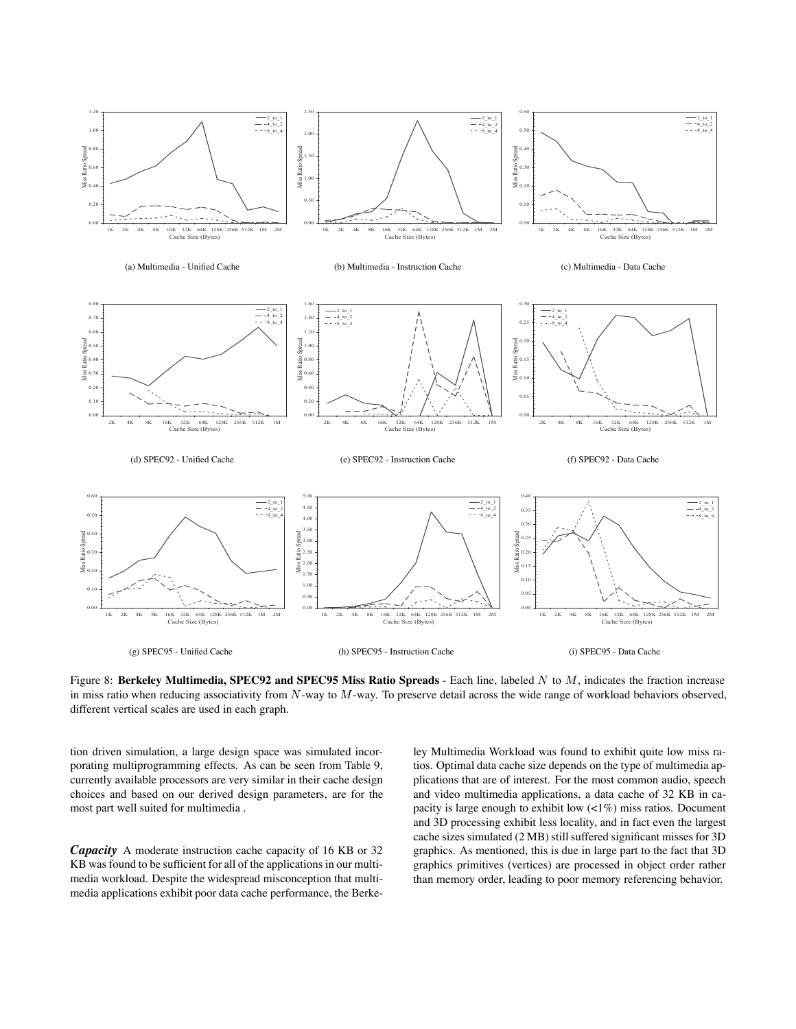

Figure 8: **Berkeley Multimedia, SPEC92 and SPEC95 Miss Ratio Spreads** - Each line, labeled  $N$  to  $M$ , indicates the fraction increase in miss ratio when reducing associativity from  $N$ -way to  $M$ -way. To preserve detail across the wide range of workload behaviors observed, different vertical scales are used in each graph.

tion driven simulation, a large design space was simulated incorporating multiprogramming effects. As can be seen from Table 9, currently available processors are very similar in their cache design choices and based on our derived design parameters, are for the most part well suited for multimedia .

*Capacity* A moderate instruction cache capacity of 16 KB or 32 KB was found to be sufficient for all of the applications in our multimedia workload. Despite the widespread misconception that multimedia applications exhibit poor data cache performance, the Berke-

ley Multimedia Workload was found to exhibit quite low miss ratios. Optimal data cache size depends on the type of multimedia applications that are of interest. For the most common audio, speech and video multimedia applications, a data cache of 32 KB in capacity is large enough to exhibit low (<1%) miss ratios. Document and 3D processing exhibit less locality, and in fact even the largest cache sizes simulated (2 MB) still suffered significant misses for 3D graphics. As mentioned, this is due in large part to the fact that 3D graphics primitives (vertices) are processed in object order rather than memory order, leading to poor memory referencing behavior.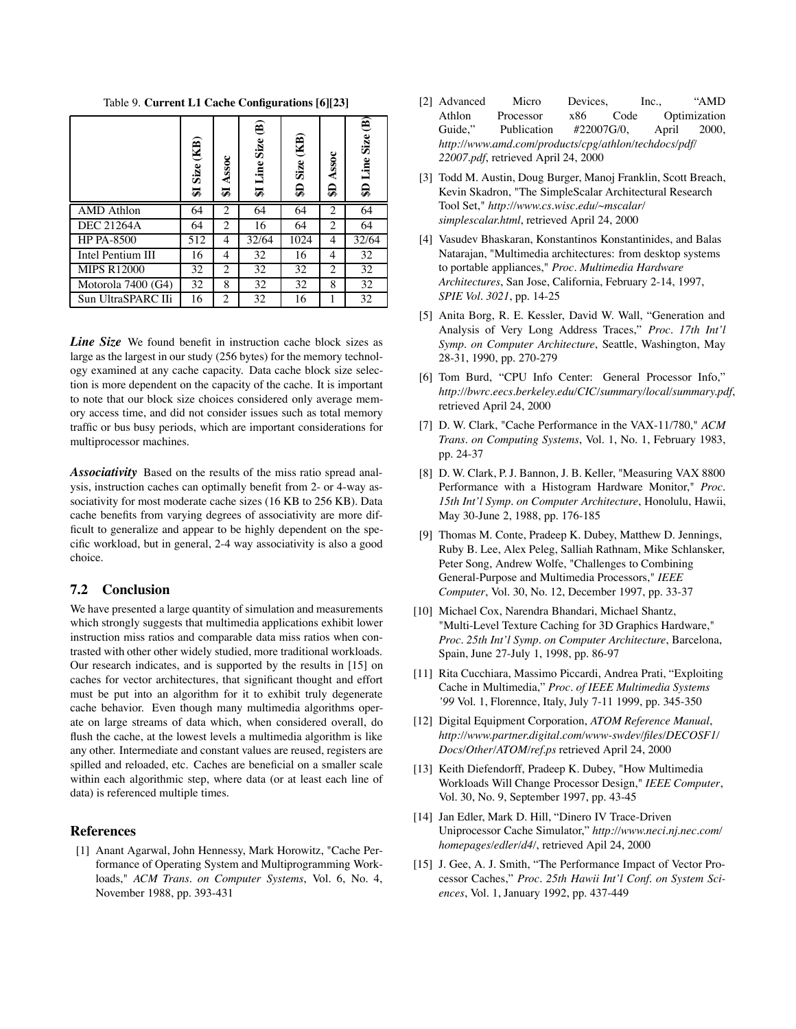Table 9. **Current L1 Cache Configurations [6][23]**

|                    | Size (KB)<br>51 | Assoc<br>贵     | $\mathbf{\widehat{e}}$<br><b>Size</b><br>Line<br>5 | Size(KB)<br>S) | Assoc<br>G\$   | \$D Line Size (B) |
|--------------------|-----------------|----------------|----------------------------------------------------|----------------|----------------|-------------------|
| <b>AMD</b> Athlon  | 64              | $\overline{c}$ | 64                                                 | 64             | $\overline{2}$ | 64                |
| <b>DEC 21264A</b>  | 64              | 2              | 16                                                 | 64             | 2              | 64                |
| <b>HP PA-8500</b>  | 512             | 4              | 32/64                                              | 1024           | 4              | 32/64             |
| Intel Pentium III  | 16              | 4              | 32                                                 | 16             | 4              | 32                |
| <b>MIPS R12000</b> | 32              | 2              | 32                                                 | 32             | $\overline{c}$ | 32                |
| Motorola 7400 (G4) | 32              | 8              | 32                                                 | 32             | 8              | 32                |
| Sun UltraSPARC IIi | 16              | $\overline{c}$ | 32                                                 | 16             |                | 32                |

*Line Size* We found benefit in instruction cache block sizes as large as the largest in our study (256 bytes) for the memory technology examined at any cache capacity. Data cache block size selection is more dependent on the capacity of the cache. It is important to note that our block size choices considered only average memory access time, and did not consider issues such as total memory traffic or bus busy periods, which are important considerations for multiprocessor machines.

*Associativity* Based on the results of the miss ratio spread analysis, instruction caches can optimally benefit from 2- or 4-way associativity for most moderate cache sizes (16 KB to 256 KB). Data cache benefits from varying degrees of associativity are more difficult to generalize and appear to be highly dependent on the specific workload, but in general, 2-4 way associativity is also a good choice.

## **7.2 Conclusion**

We have presented a large quantity of simulation and measurements which strongly suggests that multimedia applications exhibit lower instruction miss ratios and comparable data miss ratios when contrasted with other other widely studied, more traditional workloads. Our research indicates, and is supported by the results in [15] on caches for vector architectures, that significant thought and effort must be put into an algorithm for it to exhibit truly degenerate cache behavior. Even though many multimedia algorithms operate on large streams of data which, when considered overall, do flush the cache, at the lowest levels a multimedia algorithm is like any other. Intermediate and constant values are reused, registers are spilled and reloaded, etc. Caches are beneficial on a smaller scale within each algorithmic step, where data (or at least each line of data) is referenced multiple times.

#### **References**

[1] Anant Agarwal, John Hennessy, Mark Horowitz, "Cache Performance of Operating System and Multiprogramming Workloads," *ACM Trans. on Computer Systems*, Vol. 6, No. 4, November 1988, pp. 393-431

- [2] Advanced Micro Devices, Inc., "AMD Athlon Processor x86 Code Optimization Guide," Publication #22007G/0, April 2000, *http://www.amd.com/products/cpg/athlon/techdocs/pdf/ 22007.pdf*, retrieved April 24, 2000
- [3] Todd M. Austin, Doug Burger, Manoj Franklin, Scott Breach, Kevin Skadron, "The SimpleScalar Architectural Research Tool Set," *http://www.cs.wisc.edu/~mscalar/ simplescalar.html*, retrieved April 24, 2000
- [4] Vasudev Bhaskaran, Konstantinos Konstantinides, and Balas Natarajan, "Multimedia architectures: from desktop systems to portable appliances," *Proc. Multimedia Hardware Architectures*, San Jose, California, February 2-14, 1997, *SPIE Vol. 3021*, pp. 14-25
- [5] Anita Borg, R. E. Kessler, David W. Wall, "Generation and Analysis of Very Long Address Traces," *Proc. 17th Int'l Symp. on Computer Architecture*, Seattle, Washington, May 28-31, 1990, pp. 270-279
- [6] Tom Burd, "CPU Info Center: General Processor Info," *http://bwrc.eecs.berkeley.edu/CIC/summary/local/summary.pdf*, retrieved April 24, 2000
- [7] D. W. Clark, "Cache Performance in the VAX-11/780," *ACM Trans. on Computing Systems*, Vol. 1, No. 1, February 1983, pp. 24-37
- [8] D. W. Clark, P. J. Bannon, J. B. Keller, "Measuring VAX 8800 Performance with a Histogram Hardware Monitor," *Proc. 15th Int'l Symp. on Computer Architecture*, Honolulu, Hawii, May 30-June 2, 1988, pp. 176-185
- [9] Thomas M. Conte, Pradeep K. Dubey, Matthew D. Jennings, Ruby B. Lee, Alex Peleg, Salliah Rathnam, Mike Schlansker, Peter Song, Andrew Wolfe, "Challenges to Combining General-Purpose and Multimedia Processors," *IEEE Computer*, Vol. 30, No. 12, December 1997, pp. 33-37
- [10] Michael Cox, Narendra Bhandari, Michael Shantz, "Multi-Level Texture Caching for 3D Graphics Hardware," *Proc. 25th Int'l Symp. on Computer Architecture*, Barcelona, Spain, June 27-July 1, 1998, pp. 86-97
- [11] Rita Cucchiara, Massimo Piccardi, Andrea Prati, "Exploiting Cache in Multimedia," *Proc. of IEEE Multimedia Systems '99* Vol. 1, Florennce, Italy, July 7-11 1999, pp. 345-350
- [12] Digital Equipment Corporation, *ATOM Reference Manual*, *http://www.partner.digital.com/www-swdev/files/DECOSF1/ Docs/Other/ATOM/ref.ps* retrieved April 24, 2000
- [13] Keith Diefendorff, Pradeep K. Dubey, "How Multimedia Workloads Will Change Processor Design," *IEEE Computer*, Vol. 30, No. 9, September 1997, pp. 43-45
- [14] Jan Edler, Mark D. Hill, "Dinero IV Trace-Driven Uniprocessor Cache Simulator," *http://www.neci.nj.nec.com/ homepages/edler/d4/*, retrieved Apil 24, 2000
- [15] J. Gee, A. J. Smith, "The Performance Impact of Vector Processor Caches," *Proc. 25th Hawii Int'l Conf. on System Sciences*, Vol. 1, January 1992, pp. 437-449